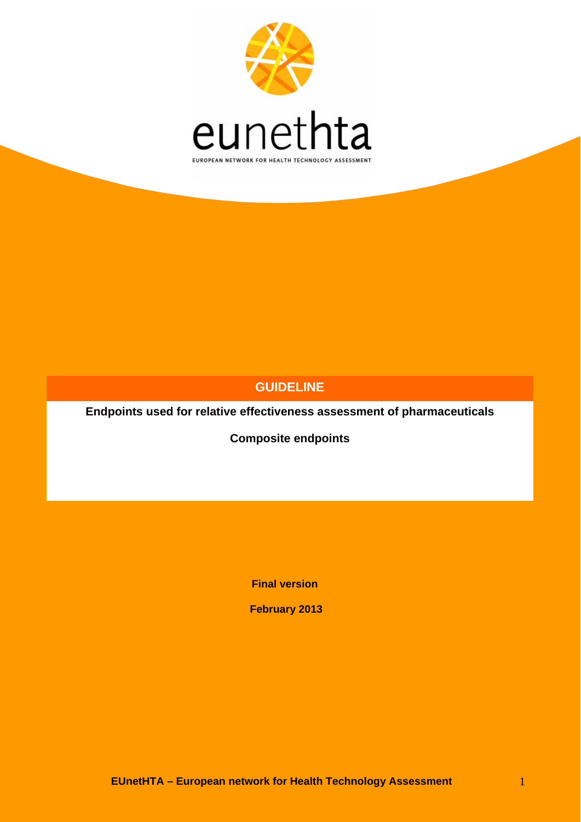

### **GUIDELINE**

**Endpoints used for relative effectiveness assessment of pharmaceuticals** 

**Composite endpoints** 

**Final version** 

 **February 2013**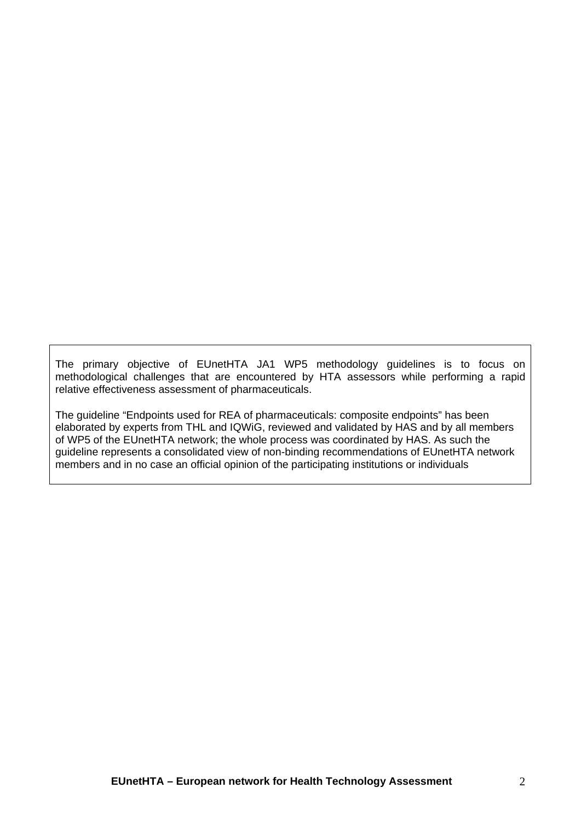The primary objective of EUnetHTA JA1 WP5 methodology guidelines is to focus on methodological challenges that are encountered by HTA assessors while performing a rapid relative effectiveness assessment of pharmaceuticals.

The guideline "Endpoints used for REA of pharmaceuticals: composite endpoints" has been elaborated by experts from THL and IQWiG, reviewed and validated by HAS and by all members of WP5 of the EUnetHTA network; the whole process was coordinated by HAS. As such the guideline represents a consolidated view of non-binding recommendations of EUnetHTA network members and in no case an official opinion of the participating institutions or individuals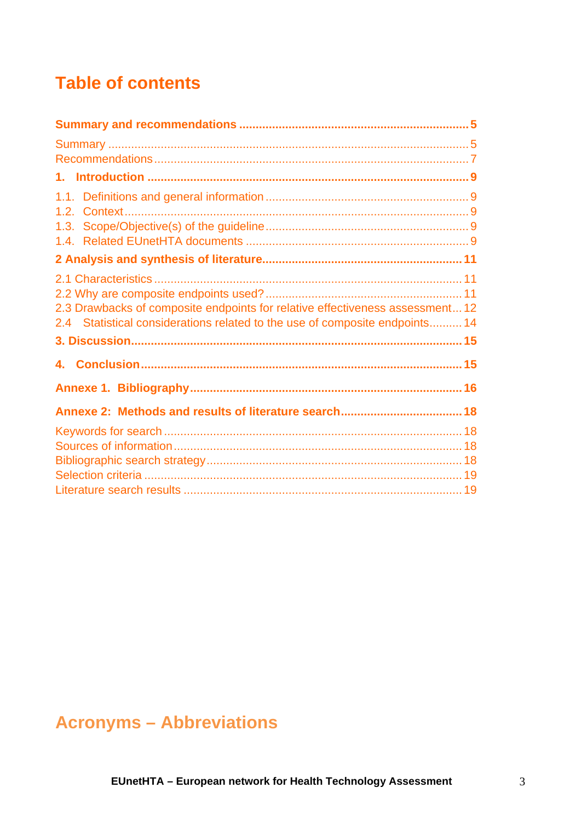# **Table of contents**

| 2.3 Drawbacks of composite endpoints for relative effectiveness assessment 12<br>2.4 Statistical considerations related to the use of composite endpoints 14 |  |
|--------------------------------------------------------------------------------------------------------------------------------------------------------------|--|
|                                                                                                                                                              |  |
|                                                                                                                                                              |  |
|                                                                                                                                                              |  |
|                                                                                                                                                              |  |
|                                                                                                                                                              |  |
|                                                                                                                                                              |  |
|                                                                                                                                                              |  |
|                                                                                                                                                              |  |
|                                                                                                                                                              |  |

# **Acronyms - Abbreviations**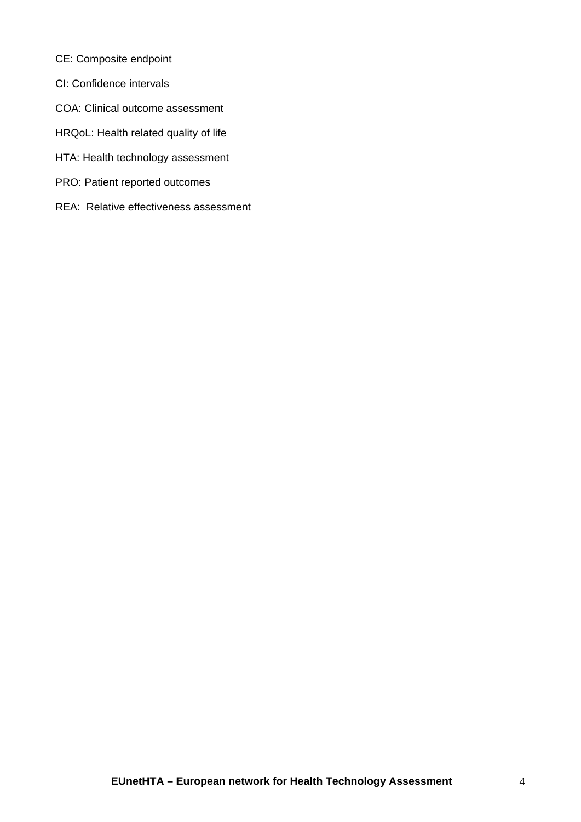- CE: Composite endpoint
- CI: Confidence intervals
- COA: Clinical outcome assessment
- HRQoL: Health related quality of life
- HTA: Health technology assessment
- PRO: Patient reported outcomes
- REA: Relative effectiveness assessment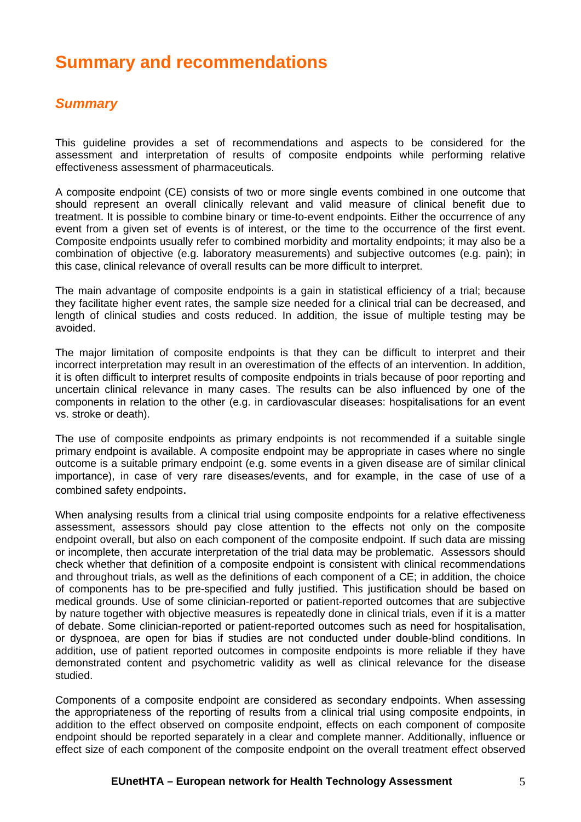# <span id="page-4-0"></span>**Summary and recommendations**

#### <span id="page-4-1"></span>*Summary*

This guideline provides a set of recommendations and aspects to be considered for the assessment and interpretation of results of composite endpoints while performing relative effectiveness assessment of pharmaceuticals.

A composite endpoint (CE) consists of two or more single events combined in one outcome that should represent an overall clinically relevant and valid measure of clinical benefit due to treatment. It is possible to combine binary or time-to-event endpoints. Either the occurrence of any event from a given set of events is of interest, or the time to the occurrence of the first event. Composite endpoints usually refer to combined morbidity and mortality endpoints; it may also be a combination of objective (e.g. laboratory measurements) and subjective outcomes (e.g. pain); in this case, clinical relevance of overall results can be more difficult to interpret.

The main advantage of composite endpoints is a gain in statistical efficiency of a trial; because they facilitate higher event rates, the sample size needed for a clinical trial can be decreased, and length of clinical studies and costs reduced. In addition, the issue of multiple testing may be avoided.

The major limitation of composite endpoints is that they can be difficult to interpret and their incorrect interpretation may result in an overestimation of the effects of an intervention. In addition, it is often difficult to interpret results of composite endpoints in trials because of poor reporting and uncertain clinical relevance in many cases. The results can be also influenced by one of the components in relation to the other (e.g. in cardiovascular diseases: hospitalisations for an event vs. stroke or death).

The use of composite endpoints as primary endpoints is not recommended if a suitable single primary endpoint is available. A composite endpoint may be appropriate in cases where no single outcome is a suitable primary endpoint (e.g. some events in a given disease are of similar clinical importance), in case of very rare diseases/events, and for example, in the case of use of a combined safety endpoints.

When analysing results from a clinical trial using composite endpoints for a relative effectiveness assessment, assessors should pay close attention to the effects not only on the composite endpoint overall, but also on each component of the composite endpoint. If such data are missing or incomplete, then accurate interpretation of the trial data may be problematic. Assessors should check whether that definition of a composite endpoint is consistent with clinical recommendations and throughout trials, as well as the definitions of each component of a CE; in addition, the choice of components has to be pre-specified and fully justified. This justification should be based on medical grounds. Use of some clinician-reported or patient-reported outcomes that are subjective by nature together with objective measures is repeatedly done in clinical trials, even if it is a matter of debate. Some clinician-reported or patient-reported outcomes such as need for hospitalisation, or dyspnoea, are open for bias if studies are not conducted under double-blind conditions. In addition, use of patient reported outcomes in composite endpoints is more reliable if they have demonstrated content and psychometric validity as well as clinical relevance for the disease studied.

Components of a composite endpoint are considered as secondary endpoints. When assessing the appropriateness of the reporting of results from a clinical trial using composite endpoints, in addition to the effect observed on composite endpoint, effects on each component of composite endpoint should be reported separately in a clear and complete manner. Additionally, influence or effect size of each component of the composite endpoint on the overall treatment effect observed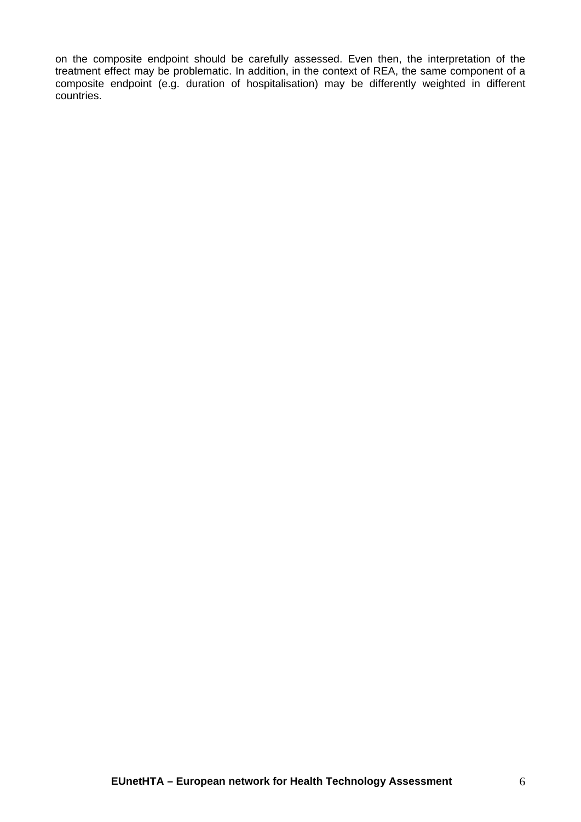on the composite endpoint should be carefully assessed. Even then, the interpretation of the treatment effect may be problematic. In addition, in the context of REA, the same component of a composite endpoint (e.g. duration of hospitalisation) may be differently weighted in different countries.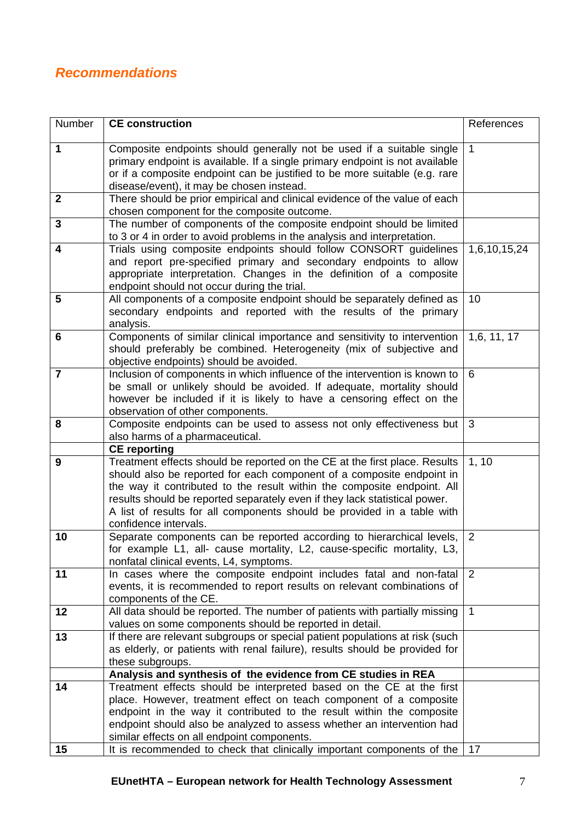## <span id="page-6-0"></span>*Recommendations*

| Number                  | <b>CE</b> construction                                                                                                                                                                                                                                                                                                                                                                                           | References   |
|-------------------------|------------------------------------------------------------------------------------------------------------------------------------------------------------------------------------------------------------------------------------------------------------------------------------------------------------------------------------------------------------------------------------------------------------------|--------------|
| 1                       | Composite endpoints should generally not be used if a suitable single<br>primary endpoint is available. If a single primary endpoint is not available<br>or if a composite endpoint can be justified to be more suitable (e.g. rare<br>disease/event), it may be chosen instead.                                                                                                                                 | $\mathbf{1}$ |
| $\mathbf{2}$            | There should be prior empirical and clinical evidence of the value of each<br>chosen component for the composite outcome.                                                                                                                                                                                                                                                                                        |              |
| $\overline{\mathbf{3}}$ | The number of components of the composite endpoint should be limited<br>to 3 or 4 in order to avoid problems in the analysis and interpretation.                                                                                                                                                                                                                                                                 |              |
| 4                       | Trials using composite endpoints should follow CONSORT guidelines<br>and report pre-specified primary and secondary endpoints to allow<br>appropriate interpretation. Changes in the definition of a composite<br>endpoint should not occur during the trial.                                                                                                                                                    | 1,6,10,15,24 |
| 5                       | All components of a composite endpoint should be separately defined as<br>secondary endpoints and reported with the results of the primary<br>analysis.                                                                                                                                                                                                                                                          | 10           |
| 6                       | Components of similar clinical importance and sensitivity to intervention<br>should preferably be combined. Heterogeneity (mix of subjective and<br>objective endpoints) should be avoided.                                                                                                                                                                                                                      | 1,6, 11, 17  |
| $\overline{7}$          | Inclusion of components in which influence of the intervention is known to<br>be small or unlikely should be avoided. If adequate, mortality should<br>however be included if it is likely to have a censoring effect on the<br>observation of other components.                                                                                                                                                 | 6            |
| 8                       | Composite endpoints can be used to assess not only effectiveness but<br>also harms of a pharmaceutical.                                                                                                                                                                                                                                                                                                          | 3            |
|                         | <b>CE</b> reporting                                                                                                                                                                                                                                                                                                                                                                                              |              |
| 9                       | Treatment effects should be reported on the CE at the first place. Results<br>should also be reported for each component of a composite endpoint in<br>the way it contributed to the result within the composite endpoint. All<br>results should be reported separately even if they lack statistical power.<br>A list of results for all components should be provided in a table with<br>confidence intervals. | 1, 10        |
| 10                      | Separate components can be reported according to hierarchical levels,<br>for example L1, all- cause mortality, L2, cause-specific mortality, L3,<br>nonfatal clinical events, L4, symptoms.                                                                                                                                                                                                                      | 2            |
| 11                      | In cases where the composite endpoint includes fatal and non-fatal<br>events, it is recommended to report results on relevant combinations of<br>components of the CE.                                                                                                                                                                                                                                           | 2            |
| 12                      | All data should be reported. The number of patients with partially missing<br>values on some components should be reported in detail.                                                                                                                                                                                                                                                                            | $\mathbf{1}$ |
| 13                      | If there are relevant subgroups or special patient populations at risk (such<br>as elderly, or patients with renal failure), results should be provided for<br>these subgroups.                                                                                                                                                                                                                                  |              |
|                         | Analysis and synthesis of the evidence from CE studies in REA                                                                                                                                                                                                                                                                                                                                                    |              |
| 14                      | Treatment effects should be interpreted based on the CE at the first<br>place. However, treatment effect on teach component of a composite<br>endpoint in the way it contributed to the result within the composite<br>endpoint should also be analyzed to assess whether an intervention had<br>similar effects on all endpoint components.                                                                     |              |
| 15                      | It is recommended to check that clinically important components of the                                                                                                                                                                                                                                                                                                                                           | 17           |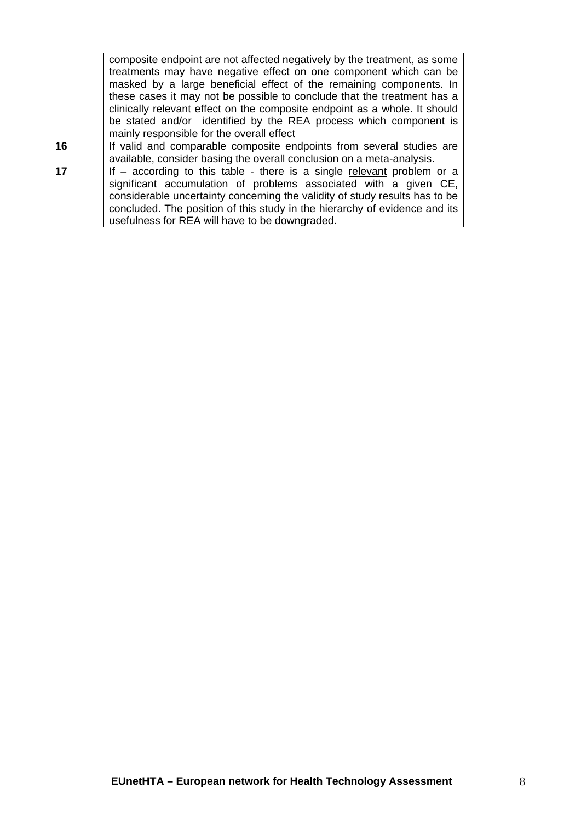|    | composite endpoint are not affected negatively by the treatment, as some<br>treatments may have negative effect on one component which can be<br>masked by a large beneficial effect of the remaining components. In<br>these cases it may not be possible to conclude that the treatment has a<br>clinically relevant effect on the composite endpoint as a whole. It should<br>be stated and/or identified by the REA process which component is<br>mainly responsible for the overall effect |  |
|----|-------------------------------------------------------------------------------------------------------------------------------------------------------------------------------------------------------------------------------------------------------------------------------------------------------------------------------------------------------------------------------------------------------------------------------------------------------------------------------------------------|--|
| 16 | If valid and comparable composite endpoints from several studies are<br>available, consider basing the overall conclusion on a meta-analysis.                                                                                                                                                                                                                                                                                                                                                   |  |
| 17 | If $-$ according to this table - there is a single relevant problem or a<br>significant accumulation of problems associated with a given CE,<br>considerable uncertainty concerning the validity of study results has to be<br>concluded. The position of this study in the hierarchy of evidence and its<br>usefulness for REA will have to be downgraded.                                                                                                                                     |  |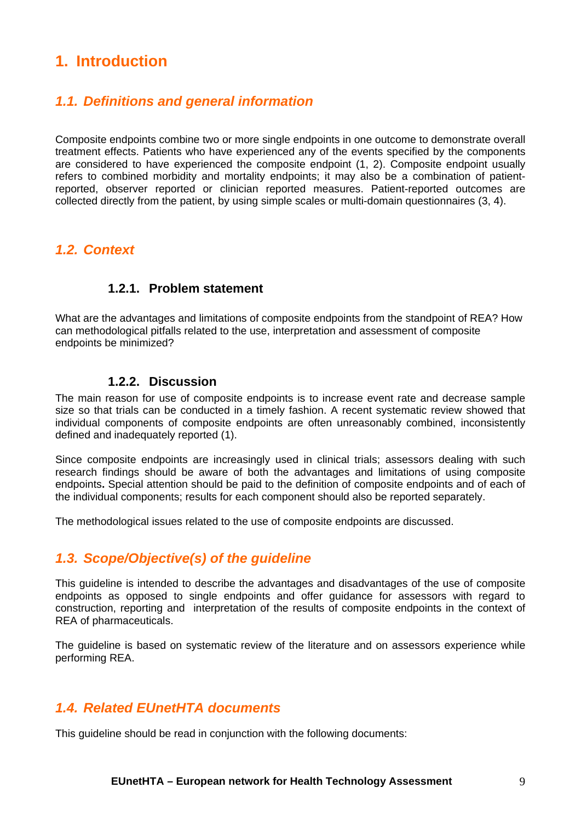## <span id="page-8-0"></span>**1. Introduction**

#### <span id="page-8-1"></span>*1.1. Definitions and general information*

Composite endpoints combine two or more single endpoints in one outcome to demonstrate overall treatment effects. Patients who have experienced any of the events specified by the components are considered to have experienced the composite endpoint (1, 2). Composite endpoint usually refers to combined morbidity and mortality endpoints; it may also be a combination of patientreported, observer reported or clinician reported measures. Patient-reported outcomes are collected directly from the patient, by using simple scales or multi-domain questionnaires (3, 4).

#### <span id="page-8-2"></span>*1.2. Context*

#### **1.2.1. Problem statement**

What are the advantages and limitations of composite endpoints from the standpoint of REA? How can methodological pitfalls related to the use, interpretation and assessment of composite endpoints be minimized?

#### **1.2.2. Discussion**

The main reason for use of composite endpoints is to increase event rate and decrease sample size so that trials can be conducted in a timely fashion. A recent systematic review showed that individual components of composite endpoints are often unreasonably combined, inconsistently defined and inadequately reported (1).

Since composite endpoints are increasingly used in clinical trials; assessors dealing with such research findings should be aware of both the advantages and limitations of using composite endpoints**.** Special attention should be paid to the definition of composite endpoints and of each of the individual components; results for each component should also be reported separately.

The methodological issues related to the use of composite endpoints are discussed.

### <span id="page-8-3"></span>*1.3. Scope/Objective(s) of the guideline*

This guideline is intended to describe the advantages and disadvantages of the use of composite endpoints as opposed to single endpoints and offer guidance for assessors with regard to construction, reporting and interpretation of the results of composite endpoints in the context of REA of pharmaceuticals.

The guideline is based on systematic review of the literature and on assessors experience while performing REA.

#### <span id="page-8-4"></span>*1.4. Related EUnetHTA documents*

This guideline should be read in conjunction with the following documents: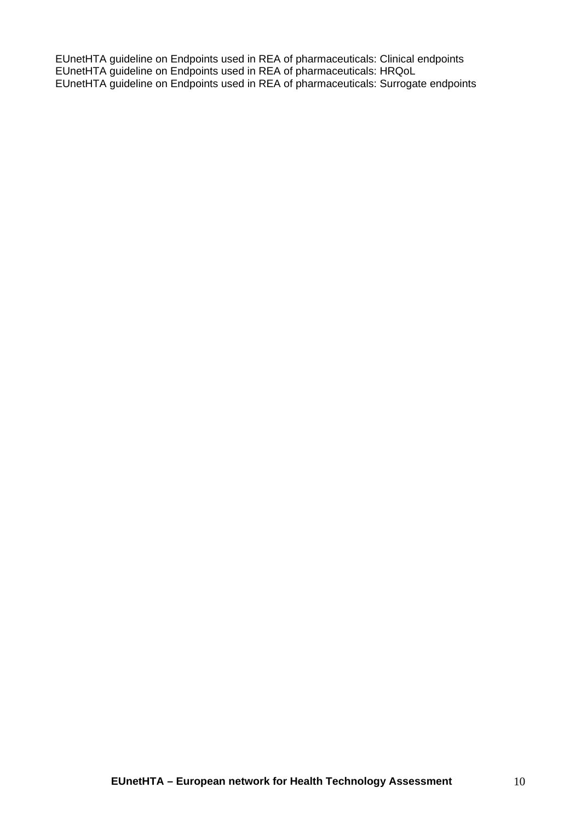EUnetHTA guideline on Endpoints used in REA of pharmaceuticals: Clinical endpoints EUnetHTA guideline on Endpoints used in REA of pharmaceuticals: HRQoL EUnetHTA guideline on Endpoints used in REA of pharmaceuticals: Surrogate endpoints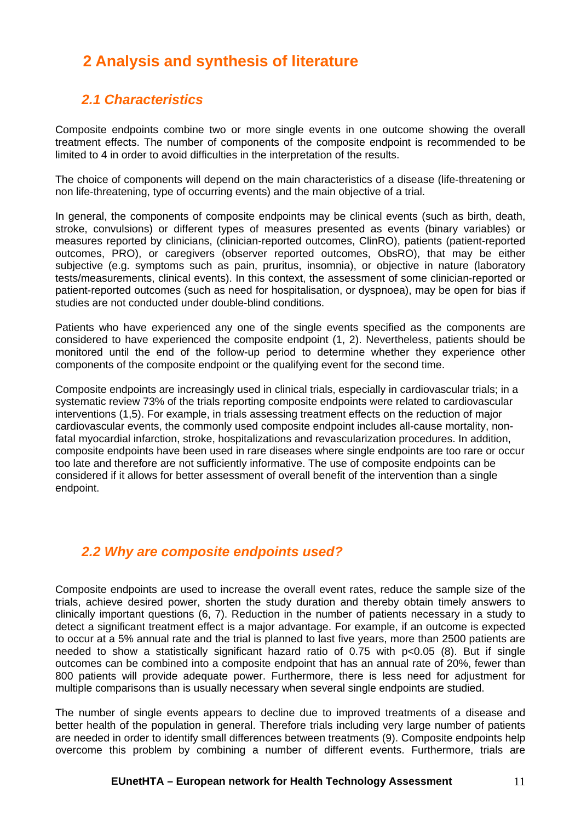## <span id="page-10-0"></span>**2 Analysis and synthesis of literature**

#### *2.1 Characteristics*

<span id="page-10-1"></span>Composite endpoints combine two or more single events in one outcome showing the overall treatment effects. The number of components of the composite endpoint is recommended to be limited to 4 in order to avoid difficulties in the interpretation of the results.

The choice of components will depend on the main characteristics of a disease (life-threatening or non life-threatening, type of occurring events) and the main objective of a trial.

In general, the components of composite endpoints may be clinical events (such as birth, death, stroke, convulsions) or different types of measures presented as events (binary variables) or measures reported by clinicians, (clinician-reported outcomes, ClinRO), patients (patient-reported outcomes, PRO), or caregivers (observer reported outcomes, ObsRO), that may be either subjective (e.g. symptoms such as pain, pruritus, insomnia), or objective in nature (laboratory tests/measurements, clinical events). In this context, the assessment of some clinician-reported or patient-reported outcomes (such as need for hospitalisation, or dyspnoea), may be open for bias if studies are not conducted under double-blind conditions.

Patients who have experienced any one of the single events specified as the components are considered to have experienced the composite endpoint (1, 2). Nevertheless, patients should be monitored until the end of the follow-up period to determine whether they experience other components of the composite endpoint or the qualifying event for the second time.

Composite endpoints are increasingly used in clinical trials, especially in cardiovascular trials; in a systematic review 73% of the trials reporting composite endpoints were related to cardiovascular interventions (1,5). For example, in trials assessing treatment effects on the reduction of major cardiovascular events, the commonly used composite endpoint includes all-cause mortality, nonfatal myocardial infarction, stroke, hospitalizations and revascularization procedures. In addition, composite endpoints have been used in rare diseases where single endpoints are too rare or occur too late and therefore are not sufficiently informative. The use of composite endpoints can be considered if it allows for better assessment of overall benefit of the intervention than a single endpoint.

### *2.2 Why are composite endpoints used?*

<span id="page-10-2"></span>Composite endpoints are used to increase the overall event rates, reduce the sample size of the trials, achieve desired power, shorten the study duration and thereby obtain timely answers to clinically important questions (6, 7). Reduction in the number of patients necessary in a study to detect a significant treatment effect is a major advantage. For example, if an outcome is expected to occur at a 5% annual rate and the trial is planned to last five years, more than 2500 patients are needed to show a statistically significant hazard ratio of 0.75 with p<0.05 (8). But if single outcomes can be combined into a composite endpoint that has an annual rate of 20%, fewer than 800 patients will provide adequate power. Furthermore, there is less need for adjustment for multiple comparisons than is usually necessary when several single endpoints are studied.

The number of single events appears to decline due to improved treatments of a disease and better health of the population in general. Therefore trials including very large number of patients are needed in order to identify small differences between treatments (9). Composite endpoints help overcome this problem by combining a number of different events. Furthermore, trials are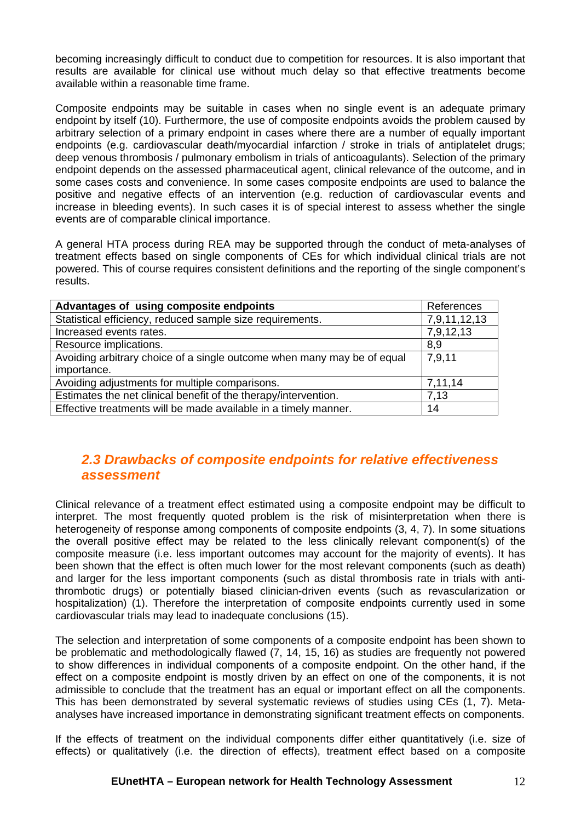becoming increasingly difficult to conduct due to competition for resources. It is also important that results are available for clinical use without much delay so that effective treatments become available within a reasonable time frame.

Composite endpoints may be suitable in cases when no single event is an adequate primary endpoint by itself (10). Furthermore, the use of composite endpoints avoids the problem caused by arbitrary selection of a primary endpoint in cases where there are a number of equally important endpoints (e.g. cardiovascular death/myocardial infarction / stroke in trials of antiplatelet drugs; deep venous thrombosis / pulmonary embolism in trials of anticoagulants). Selection of the primary endpoint depends on the assessed pharmaceutical agent, clinical relevance of the outcome, and in some cases costs and convenience. In some cases composite endpoints are used to balance the positive and negative effects of an intervention (e.g. reduction of cardiovascular events and increase in bleeding events). In such cases it is of special interest to assess whether the single events are of comparable clinical importance.

A general HTA process during REA may be supported through the conduct of meta-analyses of treatment effects based on single components of CEs for which individual clinical trials are not powered. This of course requires consistent definitions and the reporting of the single component's results.

| Advantages of using composite endpoints                                 | References   |
|-------------------------------------------------------------------------|--------------|
| Statistical efficiency, reduced sample size requirements.               | 7,9,11,12,13 |
| Increased events rates.                                                 | 7,9,12,13    |
| Resource implications.                                                  | 8,9          |
| Avoiding arbitrary choice of a single outcome when many may be of equal | 7,9,11       |
| importance.                                                             |              |
| Avoiding adjustments for multiple comparisons.                          | 7,11,14      |
| Estimates the net clinical benefit of the therapy/intervention.         | 7.13         |
| Effective treatments will be made available in a timely manner.         | 14           |

### *2.3 Drawbacks of composite endpoints for relative effectiveness assessment*

<span id="page-11-0"></span>Clinical relevance of a treatment effect estimated using a composite endpoint may be difficult to interpret. The most frequently quoted problem is the risk of misinterpretation when there is heterogeneity of response among components of composite endpoints (3, 4, 7). In some situations the overall positive effect may be related to the less clinically relevant component(s) of the composite measure (i.e. less important outcomes may account for the majority of events). It has been shown that the effect is often much lower for the most relevant components (such as death) and larger for the less important components (such as distal thrombosis rate in trials with antithrombotic drugs) or potentially biased clinician-driven events (such as revascularization or hospitalization) (1). Therefore the interpretation of composite endpoints currently used in some cardiovascular trials may lead to inadequate conclusions (15).

The selection and interpretation of some components of a composite endpoint has been shown to be problematic and methodologically flawed (7, 14, 15, 16) as studies are frequently not powered to show differences in individual components of a composite endpoint. On the other hand, if the effect on a composite endpoint is mostly driven by an effect on one of the components, it is not admissible to conclude that the treatment has an equal or important effect on all the components. This has been demonstrated by several systematic reviews of studies using CEs (1, 7). Metaanalyses have increased importance in demonstrating significant treatment effects on components.

If the effects of treatment on the individual components differ either quantitatively (i.e. size of effects) or qualitatively (i.e. the direction of effects), treatment effect based on a composite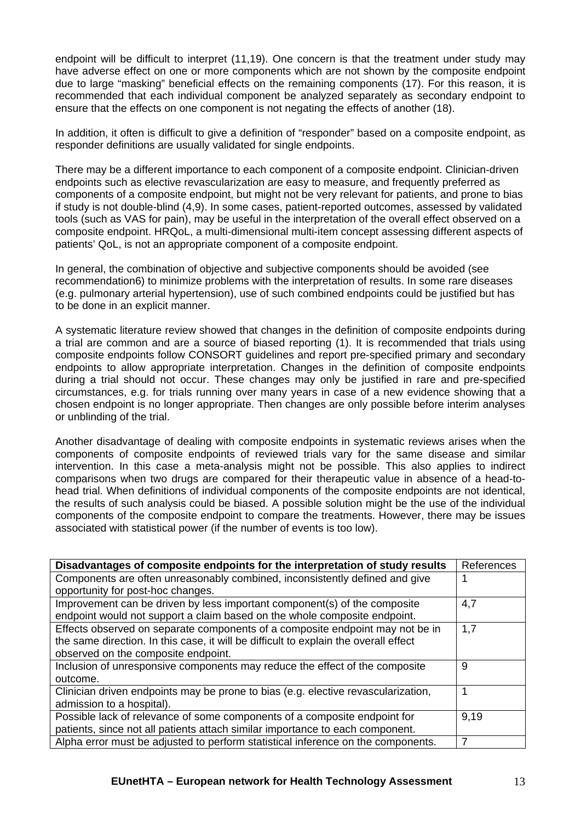endpoint will be difficult to interpret (11,19). One concern is that the treatment under study may have adverse effect on one or more components which are not shown by the composite endpoint due to large "masking" beneficial effects on the remaining components (17). For this reason, it is recommended that each individual component be analyzed separately as secondary endpoint to ensure that the effects on one component is not negating the effects of another (18).

In addition, it often is difficult to give a definition of "responder" based on a composite endpoint, as responder definitions are usually validated for single endpoints.

There may be a different importance to each component of a composite endpoint. Clinician-driven endpoints such as elective revascularization are easy to measure, and frequently preferred as components of a composite endpoint, but might not be very relevant for patients, and prone to bias if study is not double-blind (4,9). In some cases, patient-reported outcomes, assessed by validated tools (such as VAS for pain), may be useful in the interpretation of the overall effect observed on a composite endpoint. HRQoL, a multi-dimensional multi-item concept assessing different aspects of patients' QoL, is not an appropriate component of a composite endpoint.

In general, the combination of objective and subjective components should be avoided (see recommendation6) to minimize problems with the interpretation of results. In some rare diseases (e.g. pulmonary arterial hypertension), use of such combined endpoints could be justified but has to be done in an explicit manner.

A systematic literature review showed that changes in the definition of composite endpoints during a trial are common and are a source of biased reporting (1). It is recommended that trials using composite endpoints follow CONSORT guidelines and report pre-specified primary and secondary endpoints to allow appropriate interpretation. Changes in the definition of composite endpoints during a trial should not occur. These changes may only be justified in rare and pre-specified circumstances, e.g. for trials running over many years in case of a new evidence showing that a chosen endpoint is no longer appropriate. Then changes are only possible before interim analyses or unblinding of the trial.

Another disadvantage of dealing with composite endpoints in systematic reviews arises when the components of composite endpoints of reviewed trials vary for the same disease and similar intervention. In this case a meta-analysis might not be possible. This also applies to indirect comparisons when two drugs are compared for their therapeutic value in absence of a head-tohead trial. When definitions of individual components of the composite endpoints are not identical, the results of such analysis could be biased. A possible solution might be the use of the individual components of the composite endpoint to compare the treatments. However, there may be issues associated with statistical power (if the number of events is too low).

| Disadvantages of composite endpoints for the interpretation of study results         | References |
|--------------------------------------------------------------------------------------|------------|
| Components are often unreasonably combined, inconsistently defined and give          |            |
| opportunity for post-hoc changes.                                                    |            |
| Improvement can be driven by less important component(s) of the composite            | 4,7        |
| endpoint would not support a claim based on the whole composite endpoint.            |            |
| Effects observed on separate components of a composite endpoint may not be in        | 1,7        |
| the same direction. In this case, it will be difficult to explain the overall effect |            |
| observed on the composite endpoint.                                                  |            |
| Inclusion of unresponsive components may reduce the effect of the composite          | 9          |
| outcome.                                                                             |            |
| Clinician driven endpoints may be prone to bias (e.g. elective revascularization,    |            |
| admission to a hospital).                                                            |            |
| Possible lack of relevance of some components of a composite endpoint for            | 9,19       |
| patients, since not all patients attach similar importance to each component.        |            |
| Alpha error must be adjusted to perform statistical inference on the components.     | 7          |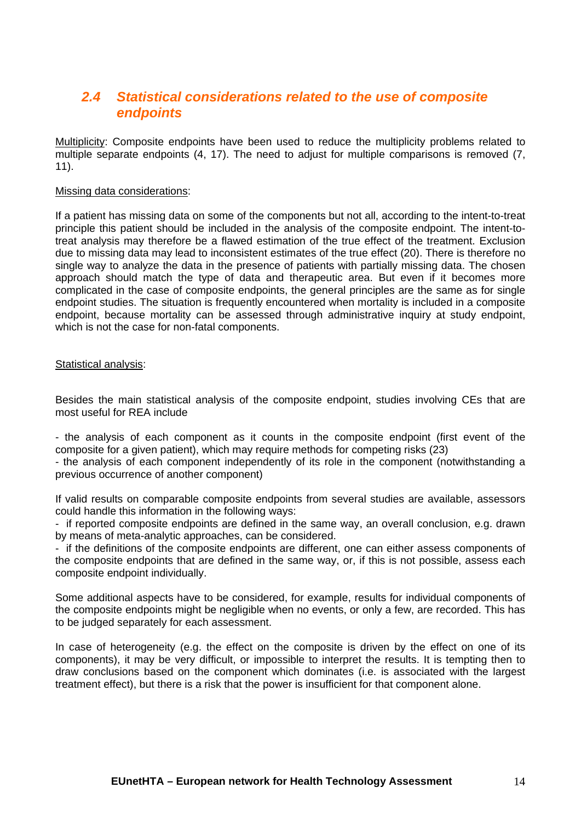#### *2.4 Statistical considerations related to the use of composite endpoints*

<span id="page-13-0"></span>Multiplicity: Composite endpoints have been used to reduce the multiplicity problems related to multiple separate endpoints (4, 17). The need to adjust for multiple comparisons is removed (7, 11).

#### Missing data considerations:

If a patient has missing data on some of the components but not all, according to the intent-to-treat principle this patient should be included in the analysis of the composite endpoint. The intent-totreat analysis may therefore be a flawed estimation of the true effect of the treatment. Exclusion due to missing data may lead to inconsistent estimates of the true effect (20). There is therefore no single way to analyze the data in the presence of patients with partially missing data. The chosen approach should match the type of data and therapeutic area. But even if it becomes more complicated in the case of composite endpoints, the general principles are the same as for single endpoint studies. The situation is frequently encountered when mortality is included in a composite endpoint, because mortality can be assessed through administrative inquiry at study endpoint, which is not the case for non-fatal components.

#### Statistical analysis:

Besides the main statistical analysis of the composite endpoint, studies involving CEs that are most useful for REA include

- the analysis of each component as it counts in the composite endpoint (first event of the composite for a given patient), which may require methods for competing risks (23)

- the analysis of each component independently of its role in the component (notwithstanding a previous occurrence of another component)

If valid results on comparable composite endpoints from several studies are available, assessors could handle this information in the following ways:

- if reported composite endpoints are defined in the same way, an overall conclusion, e.g. drawn by means of meta-analytic approaches, can be considered.

- if the definitions of the composite endpoints are different, one can either assess components of the composite endpoints that are defined in the same way, or, if this is not possible, assess each composite endpoint individually.

Some additional aspects have to be considered, for example, results for individual components of the composite endpoints might be negligible when no events, or only a few, are recorded. This has to be judged separately for each assessment.

In case of heterogeneity (e.g. the effect on the composite is driven by the effect on one of its components), it may be very difficult, or impossible to interpret the results. It is tempting then to draw conclusions based on the component which dominates (i.e. is associated with the largest treatment effect), but there is a risk that the power is insufficient for that component alone.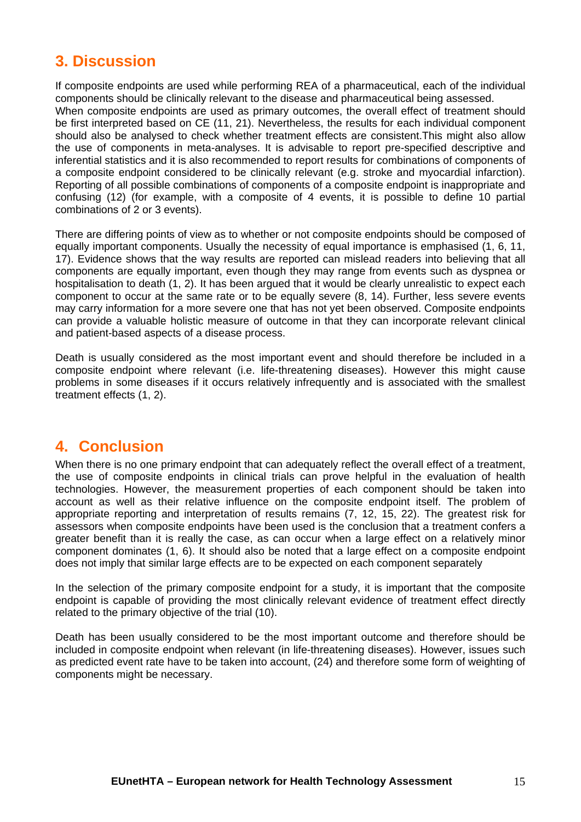## <span id="page-14-0"></span>**3. Discussion**

If composite endpoints are used while performing REA of a pharmaceutical, each of the individual components should be clinically relevant to the disease and pharmaceutical being assessed. When composite endpoints are used as primary outcomes, the overall effect of treatment should be first interpreted based on CE (11, 21). Nevertheless, the results for each individual component should also be analysed to check whether treatment effects are consistent.This might also allow the use of components in meta-analyses. It is advisable to report pre-specified descriptive and inferential statistics and it is also recommended to report results for combinations of components of a composite endpoint considered to be clinically relevant (e.g. stroke and myocardial infarction). Reporting of all possible combinations of components of a composite endpoint is inappropriate and confusing (12) (for example, with a composite of 4 events, it is possible to define 10 partial combinations of 2 or 3 events).

There are differing points of view as to whether or not composite endpoints should be composed of equally important components. Usually the necessity of equal importance is emphasised (1, 6, 11, 17). Evidence shows that the way results are reported can mislead readers into believing that all components are equally important, even though they may range from events such as dyspnea or hospitalisation to death (1, 2). It has been argued that it would be clearly unrealistic to expect each component to occur at the same rate or to be equally severe (8, 14). Further, less severe events may carry information for a more severe one that has not yet been observed. Composite endpoints can provide a valuable holistic measure of outcome in that they can incorporate relevant clinical and patient-based aspects of a disease process.

Death is usually considered as the most important event and should therefore be included in a composite endpoint where relevant (i.e. life-threatening diseases). However this might cause problems in some diseases if it occurs relatively infrequently and is associated with the smallest treatment effects (1, 2).

## <span id="page-14-1"></span>**4. Conclusion**

When there is no one primary endpoint that can adequately reflect the overall effect of a treatment, the use of composite endpoints in clinical trials can prove helpful in the evaluation of health technologies. However, the measurement properties of each component should be taken into account as well as their relative influence on the composite endpoint itself. The problem of appropriate reporting and interpretation of results remains (7, 12, 15, 22). The greatest risk for assessors when composite endpoints have been used is the conclusion that a treatment confers a greater benefit than it is really the case, as can occur when a large effect on a relatively minor component dominates (1, 6). It should also be noted that a large effect on a composite endpoint does not imply that similar large effects are to be expected on each component separately

In the selection of the primary composite endpoint for a study, it is important that the composite endpoint is capable of providing the most clinically relevant evidence of treatment effect directly related to the primary objective of the trial (10).

Death has been usually considered to be the most important outcome and therefore should be included in composite endpoint when relevant (in life-threatening diseases). However, issues such as predicted event rate have to be taken into account, (24) and therefore some form of weighting of components might be necessary.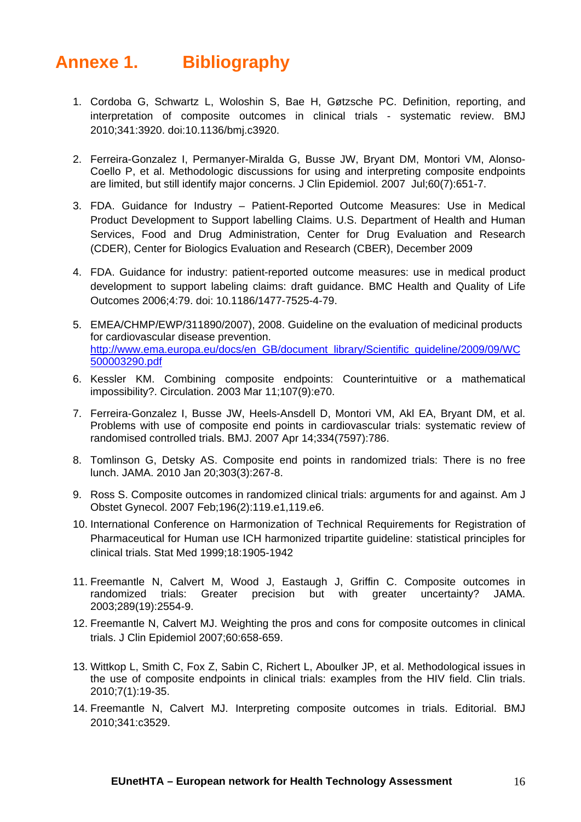# <span id="page-15-0"></span>**Annexe 1. Bibliography**

- 1. Cordoba G, Schwartz L, Woloshin S, Bae H, Gøtzsche PC. Definition, reporting, and interpretation of composite outcomes in clinical trials - systematic review. BMJ 2010;341:3920. doi:10.1136/bmj.c3920.
- 2. Ferreira-Gonzalez I, Permanyer-Miralda G, Busse JW, Bryant DM, Montori VM, Alonso-Coello P, et al. Methodologic discussions for using and interpreting composite endpoints are limited, but still identify major concerns. J Clin Epidemiol. 2007 Jul;60(7):651-7.
- 3. FDA. Guidance for Industry Patient-Reported Outcome Measures: Use in Medical Product Development to Support labelling Claims. U.S. Department of Health and Human Services, Food and Drug Administration, Center for Drug Evaluation and Research (CDER), Center for Biologics Evaluation and Research (CBER), December 2009
- 4. FDA. Guidance for industry: patient-reported outcome measures: use in medical product development to support labeling claims: draft guidance. BMC Health and Quality of Life Outcomes 2006;4:79. doi: 10.1186/1477-7525-4-79.
- 5. EMEA/CHMP/EWP/311890/2007), 2008. Guideline on the evaluation of medicinal products for cardiovascular disease prevention. [http://www.ema.europa.eu/docs/en\\_GB/document\\_library/Scientific\\_guideline/2009/09/WC](http://www.ema.europa.eu/docs/en_GB/document_library/Scientific_guideline/2009/09/WC500003290.pdf) [500003290.pdf](http://www.ema.europa.eu/docs/en_GB/document_library/Scientific_guideline/2009/09/WC500003290.pdf)
- 6. Kessler KM. Combining composite endpoints: Counterintuitive or a mathematical impossibility?. Circulation. 2003 Mar 11;107(9):e70.
- 7. Ferreira-Gonzalez I, Busse JW, Heels-Ansdell D, Montori VM, Akl EA, Bryant DM, et al. Problems with use of composite end points in cardiovascular trials: systematic review of randomised controlled trials. BMJ. 2007 Apr 14;334(7597):786.
- 8. Tomlinson G, Detsky AS. Composite end points in randomized trials: There is no free lunch. JAMA. 2010 Jan 20;303(3):267-8.
- 9. Ross S. Composite outcomes in randomized clinical trials: arguments for and against. Am J Obstet Gynecol. 2007 Feb;196(2):119.e1,119.e6.
- 10. International Conference on Harmonization of Technical Requirements for Registration of Pharmaceutical for Human use ICH harmonized tripartite guideline: statistical principles for clinical trials. Stat Med 1999;18:1905-1942
- 11. Freemantle N, Calvert M, Wood J, Eastaugh J, Griffin C. Composite outcomes in randomized trials: Greater precision but with greater uncertainty? JAMA. 2003;289(19):2554-9.
- 12. Freemantle N, Calvert MJ. Weighting the pros and cons for composite outcomes in clinical trials. J Clin Epidemiol 2007;60:658-659.
- 13. Wittkop L, Smith C, Fox Z, Sabin C, Richert L, Aboulker JP, et al. Methodological issues in the use of composite endpoints in clinical trials: examples from the HIV field. Clin trials. 2010;7(1):19-35.
- 14. Freemantle N, Calvert MJ. Interpreting composite outcomes in trials. Editorial. BMJ 2010;341:c3529.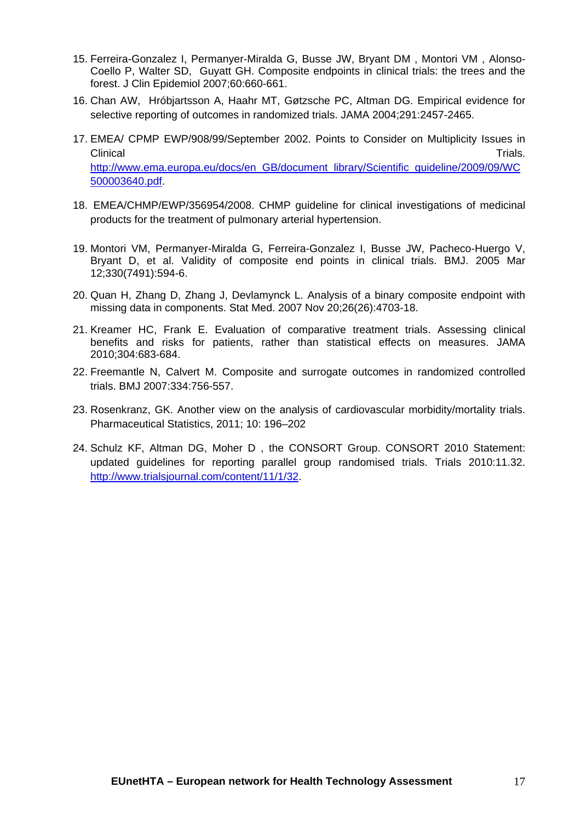- 15. Ferreira-Gonzalez I, Permanyer-Miralda G, Busse JW, Bryant DM , Montori VM , Alonso-Coello P, Walter SD, Guyatt GH. Composite endpoints in clinical trials: the trees and the forest. J Clin Epidemiol 2007;60:660-661.
- 16. Chan AW, Hróbjartsson A, Haahr MT, Gøtzsche PC, Altman DG. Empirical evidence for selective reporting of outcomes in randomized trials. JAMA 2004;291:2457-2465.
- 17. EMEA/ CPMP EWP/908/99/September 2002. Points to Consider on Multiplicity Issues in Clinical **Clinical** Trials. [http://www.ema.europa.eu/docs/en\\_GB/document\\_library/Scientific\\_guideline/2009/09/WC](http://www.ema.europa.eu/docs/en_GB/document_library/Scientific_guideline/2009/09/WC500003640.pdf) [500003640.pdf](http://www.ema.europa.eu/docs/en_GB/document_library/Scientific_guideline/2009/09/WC500003640.pdf).
- 18. EMEA/CHMP/EWP/356954/2008. CHMP guideline for clinical investigations of medicinal products for the treatment of pulmonary arterial hypertension.
- 19. Montori VM, Permanyer-Miralda G, Ferreira-Gonzalez I, Busse JW, Pacheco-Huergo V, Bryant D, et al. Validity of composite end points in clinical trials. BMJ. 2005 Mar 12;330(7491):594-6.
- 20. Quan H, Zhang D, Zhang J, Devlamynck L. Analysis of a binary composite endpoint with missing data in components. Stat Med. 2007 Nov 20;26(26):4703-18.
- 21. Kreamer HC, Frank E. Evaluation of comparative treatment trials. Assessing clinical benefits and risks for patients, rather than statistical effects on measures. JAMA 2010;304:683-684.
- 22. Freemantle N, Calvert M. Composite and surrogate outcomes in randomized controlled trials. BMJ 2007:334:756-557.
- 23. Rosenkranz, GK. Another view on the analysis of cardiovascular morbidity/mortality trials. Pharmaceutical Statistics, 2011; 10: 196–202
- 24. Schulz KF, Altman DG, Moher D , the CONSORT Group. CONSORT 2010 Statement: updated guidelines for reporting parallel group randomised trials. Trials 2010:11.32. <http://www.trialsjournal.com/content/11/1/32>.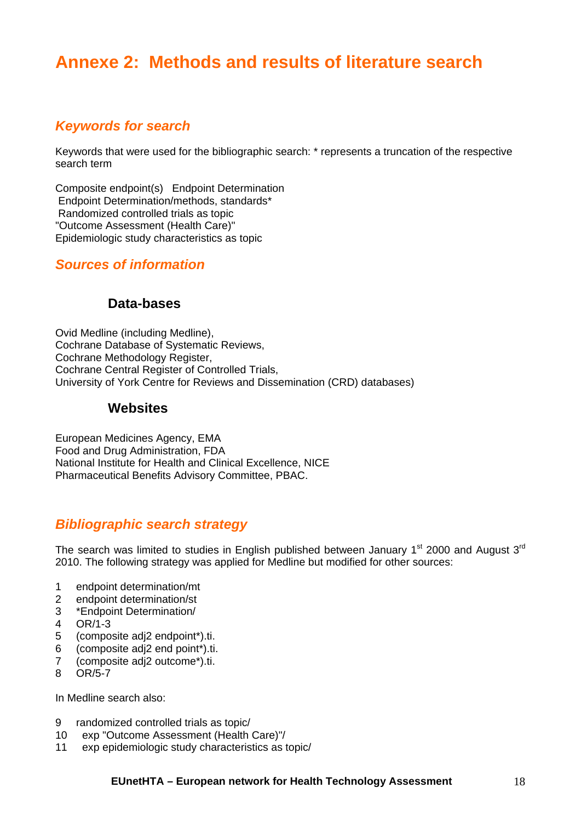# <span id="page-17-0"></span>**Annexe 2: Methods and results of literature search**

### <span id="page-17-1"></span>*Keywords for search*

Keywords that were used for the bibliographic search: \* represents a truncation of the respective search term

Composite endpoint(s) Endpoint Determination Endpoint Determination/methods, standards\* Randomized controlled trials as topic "Outcome Assessment (Health Care)" Epidemiologic study characteristics as topic

#### <span id="page-17-2"></span>*Sources of information*

#### **Data-bases**

Ovid Medline (including Medline), Cochrane Database of Systematic Reviews, Cochrane Methodology Register, Cochrane Central Register of Controlled Trials, University of York Centre for Reviews and Dissemination (CRD) databases)

#### **Websites**

European Medicines Agency, EMA Food and Drug Administration, FDA National Institute for Health and Clinical Excellence, NICE Pharmaceutical Benefits Advisory Committee, PBAC.

#### <span id="page-17-3"></span>*Bibliographic search strategy*

The search was limited to studies in English published between January 1<sup>st</sup> 2000 and August  $3<sup>rd</sup>$ 2010. The following strategy was applied for Medline but modified for other sources:

- 1 endpoint determination/mt
- 2 endpoint determination/st
- 3 \*Endpoint Determination/
- 4 OR/1-3
- 5 (composite adj2 endpoint\*).ti.
- 6 (composite adj2 end point\*).ti.
- 7 (composite adj2 outcome\*).ti.
- 8 OR/5-7

In Medline search also:

- 9 randomized controlled trials as topic/
- 10 exp "Outcome Assessment (Health Care)"/
- 11 exp epidemiologic study characteristics as topic/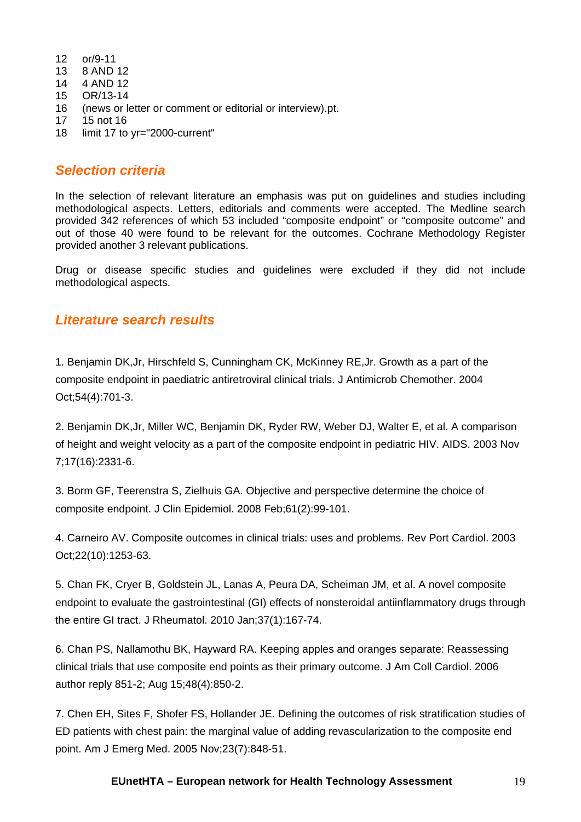- 12 or/9-11
- 13 8 AND 12
- 14 4 AND 12
- 15 OR/13-14
- 16 (news or letter or comment or editorial or interview).pt.
- 17 15 not 16
- 18 limit 17 to yr="2000-current"

#### <span id="page-18-0"></span>*Selection criteria*

In the selection of relevant literature an emphasis was put on guidelines and studies including methodological aspects. Letters, editorials and comments were accepted. The Medline search provided 342 references of which 53 included "composite endpoint" or "composite outcome" and out of those 40 were found to be relevant for the outcomes. Cochrane Methodology Register provided another 3 relevant publications.

Drug or disease specific studies and guidelines were excluded if they did not include methodological aspects.

#### <span id="page-18-1"></span>*Literature search results*

1. Benjamin DK,Jr, Hirschfeld S, Cunningham CK, McKinney RE,Jr. Growth as a part of the composite endpoint in paediatric antiretroviral clinical trials. J Antimicrob Chemother. 2004 Oct;54(4):701-3.

2. Benjamin DK,Jr, Miller WC, Benjamin DK, Ryder RW, Weber DJ, Walter E, et al. A comparison of height and weight velocity as a part of the composite endpoint in pediatric HIV. AIDS. 2003 Nov 7;17(16):2331-6.

3. Borm GF, Teerenstra S, Zielhuis GA. Objective and perspective determine the choice of composite endpoint. J Clin Epidemiol. 2008 Feb;61(2):99-101.

4. Carneiro AV. Composite outcomes in clinical trials: uses and problems. Rev Port Cardiol. 2003 Oct;22(10):1253-63.

5. Chan FK, Cryer B, Goldstein JL, Lanas A, Peura DA, Scheiman JM, et al. A novel composite endpoint to evaluate the gastrointestinal (GI) effects of nonsteroidal antiinflammatory drugs through the entire GI tract. J Rheumatol. 2010 Jan;37(1):167-74.

6. Chan PS, Nallamothu BK, Hayward RA. Keeping apples and oranges separate: Reassessing clinical trials that use composite end points as their primary outcome. J Am Coll Cardiol. 2006 author reply 851-2; Aug 15;48(4):850-2.

7. Chen EH, Sites F, Shofer FS, Hollander JE. Defining the outcomes of risk stratification studies of ED patients with chest pain: the marginal value of adding revascularization to the composite end point. Am J Emerg Med. 2005 Nov;23(7):848-51.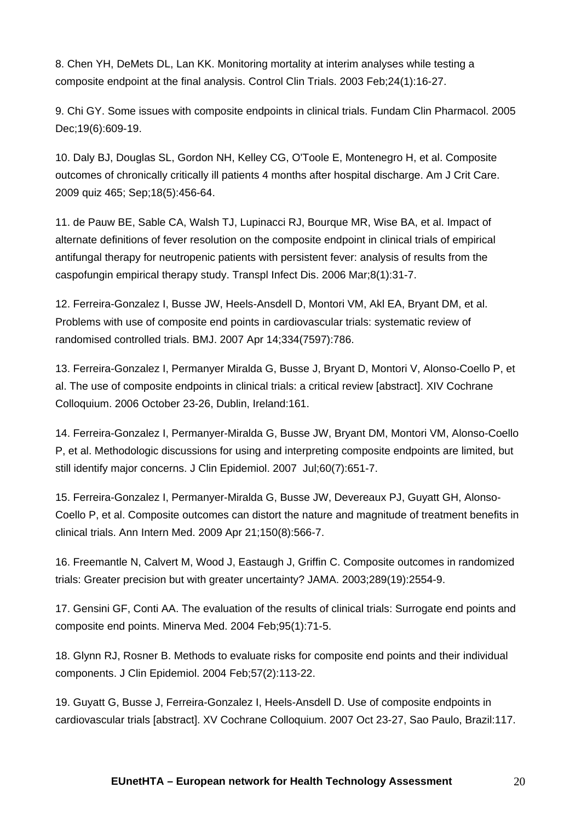8. Chen YH, DeMets DL, Lan KK. Monitoring mortality at interim analyses while testing a composite endpoint at the final analysis. Control Clin Trials. 2003 Feb;24(1):16-27.

9. Chi GY. Some issues with composite endpoints in clinical trials. Fundam Clin Pharmacol. 2005 Dec;19(6):609-19.

10. Daly BJ, Douglas SL, Gordon NH, Kelley CG, O'Toole E, Montenegro H, et al. Composite outcomes of chronically critically ill patients 4 months after hospital discharge. Am J Crit Care. 2009 quiz 465; Sep;18(5):456-64.

11. de Pauw BE, Sable CA, Walsh TJ, Lupinacci RJ, Bourque MR, Wise BA, et al. Impact of alternate definitions of fever resolution on the composite endpoint in clinical trials of empirical antifungal therapy for neutropenic patients with persistent fever: analysis of results from the caspofungin empirical therapy study. Transpl Infect Dis. 2006 Mar;8(1):31-7.

12. Ferreira-Gonzalez I, Busse JW, Heels-Ansdell D, Montori VM, Akl EA, Bryant DM, et al. Problems with use of composite end points in cardiovascular trials: systematic review of randomised controlled trials. BMJ. 2007 Apr 14;334(7597):786.

13. Ferreira-Gonzalez I, Permanyer Miralda G, Busse J, Bryant D, Montori V, Alonso-Coello P, et al. The use of composite endpoints in clinical trials: a critical review [abstract]. XIV Cochrane Colloquium. 2006 October 23-26, Dublin, Ireland:161.

14. Ferreira-Gonzalez I, Permanyer-Miralda G, Busse JW, Bryant DM, Montori VM, Alonso-Coello P, et al. Methodologic discussions for using and interpreting composite endpoints are limited, but still identify major concerns. J Clin Epidemiol. 2007 Jul;60(7):651-7.

15. Ferreira-Gonzalez I, Permanyer-Miralda G, Busse JW, Devereaux PJ, Guyatt GH, Alonso-Coello P, et al. Composite outcomes can distort the nature and magnitude of treatment benefits in clinical trials. Ann Intern Med. 2009 Apr 21;150(8):566-7.

16. Freemantle N, Calvert M, Wood J, Eastaugh J, Griffin C. Composite outcomes in randomized trials: Greater precision but with greater uncertainty? JAMA. 2003;289(19):2554-9.

17. Gensini GF, Conti AA. The evaluation of the results of clinical trials: Surrogate end points and composite end points. Minerva Med. 2004 Feb;95(1):71-5.

18. Glynn RJ, Rosner B. Methods to evaluate risks for composite end points and their individual components. J Clin Epidemiol. 2004 Feb;57(2):113-22.

19. Guyatt G, Busse J, Ferreira-Gonzalez I, Heels-Ansdell D. Use of composite endpoints in cardiovascular trials [abstract]. XV Cochrane Colloquium. 2007 Oct 23-27, Sao Paulo, Brazil:117.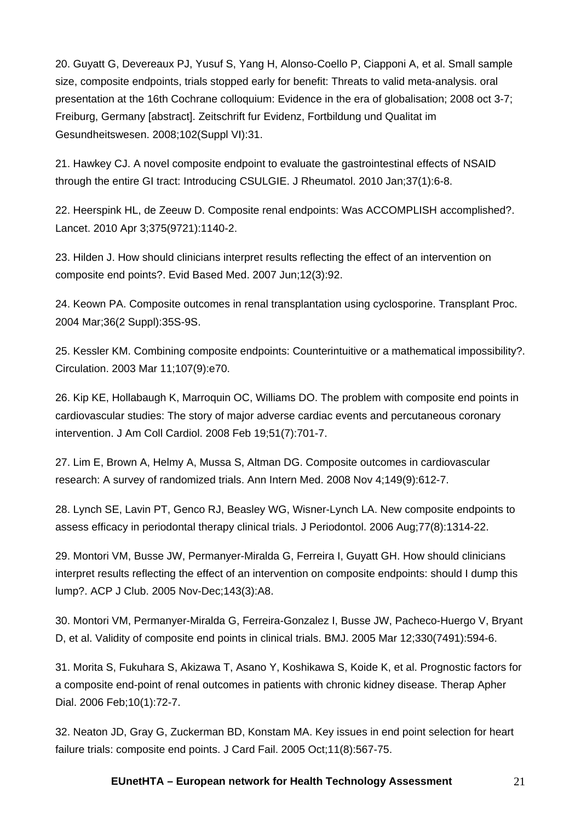20. Guyatt G, Devereaux PJ, Yusuf S, Yang H, Alonso-Coello P, Ciapponi A, et al. Small sample size, composite endpoints, trials stopped early for benefit: Threats to valid meta-analysis. oral presentation at the 16th Cochrane colloquium: Evidence in the era of globalisation; 2008 oct 3-7; Freiburg, Germany [abstract]. Zeitschrift fur Evidenz, Fortbildung und Qualitat im Gesundheitswesen. 2008;102(Suppl VI):31.

21. Hawkey CJ. A novel composite endpoint to evaluate the gastrointestinal effects of NSAID through the entire GI tract: Introducing CSULGIE. J Rheumatol. 2010 Jan;37(1):6-8.

22. Heerspink HL, de Zeeuw D. Composite renal endpoints: Was ACCOMPLISH accomplished?. Lancet. 2010 Apr 3;375(9721):1140-2.

23. Hilden J. How should clinicians interpret results reflecting the effect of an intervention on composite end points?. Evid Based Med. 2007 Jun;12(3):92.

24. Keown PA. Composite outcomes in renal transplantation using cyclosporine. Transplant Proc. 2004 Mar;36(2 Suppl):35S-9S.

25. Kessler KM. Combining composite endpoints: Counterintuitive or a mathematical impossibility?. Circulation. 2003 Mar 11;107(9):e70.

26. Kip KE, Hollabaugh K, Marroquin OC, Williams DO. The problem with composite end points in cardiovascular studies: The story of major adverse cardiac events and percutaneous coronary intervention. J Am Coll Cardiol. 2008 Feb 19;51(7):701-7.

27. Lim E, Brown A, Helmy A, Mussa S, Altman DG. Composite outcomes in cardiovascular research: A survey of randomized trials. Ann Intern Med. 2008 Nov 4;149(9):612-7.

28. Lynch SE, Lavin PT, Genco RJ, Beasley WG, Wisner-Lynch LA. New composite endpoints to assess efficacy in periodontal therapy clinical trials. J Periodontol. 2006 Aug;77(8):1314-22.

29. Montori VM, Busse JW, Permanyer-Miralda G, Ferreira I, Guyatt GH. How should clinicians interpret results reflecting the effect of an intervention on composite endpoints: should I dump this lump?. ACP J Club. 2005 Nov-Dec;143(3):A8.

30. Montori VM, Permanyer-Miralda G, Ferreira-Gonzalez I, Busse JW, Pacheco-Huergo V, Bryant D, et al. Validity of composite end points in clinical trials. BMJ. 2005 Mar 12;330(7491):594-6.

31. Morita S, Fukuhara S, Akizawa T, Asano Y, Koshikawa S, Koide K, et al. Prognostic factors for a composite end-point of renal outcomes in patients with chronic kidney disease. Therap Apher Dial. 2006 Feb;10(1):72-7.

32. Neaton JD, Gray G, Zuckerman BD, Konstam MA. Key issues in end point selection for heart failure trials: composite end points. J Card Fail. 2005 Oct;11(8):567-75.